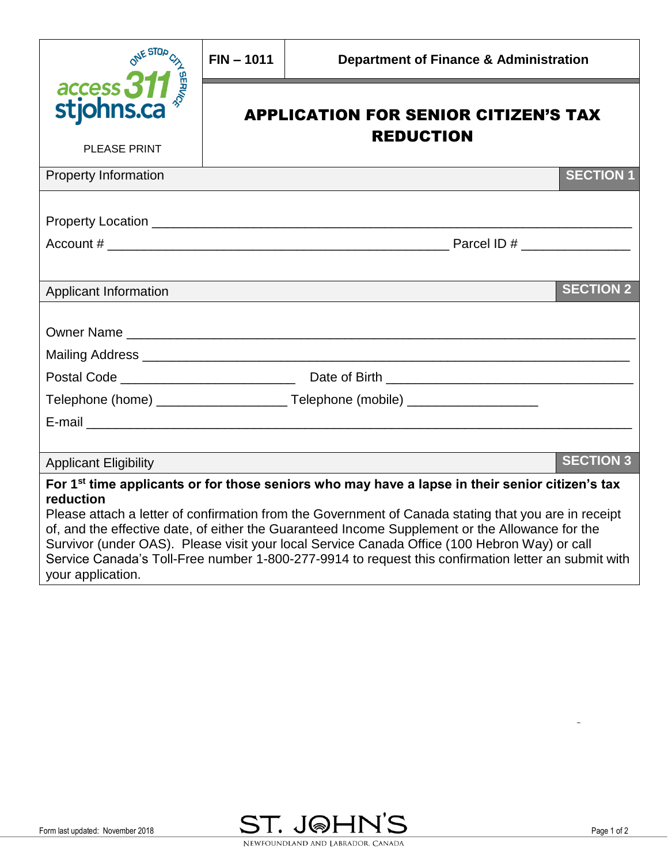| ONE STOP                                                                                                                                                                                                                                                                                                                                                                                                                                                                                                                                                        | $FIN - 1011$                                                    | <b>Department of Finance &amp; Administration</b>                                |                  |
|-----------------------------------------------------------------------------------------------------------------------------------------------------------------------------------------------------------------------------------------------------------------------------------------------------------------------------------------------------------------------------------------------------------------------------------------------------------------------------------------------------------------------------------------------------------------|-----------------------------------------------------------------|----------------------------------------------------------------------------------|------------------|
| access 311<br>stjohns.ca<br><b>PLEASE PRINT</b>                                                                                                                                                                                                                                                                                                                                                                                                                                                                                                                 | <b>APPLICATION FOR SENIOR CITIZEN'S TAX</b><br><b>REDUCTION</b> |                                                                                  |                  |
|                                                                                                                                                                                                                                                                                                                                                                                                                                                                                                                                                                 |                                                                 |                                                                                  |                  |
| <b>Property Information</b>                                                                                                                                                                                                                                                                                                                                                                                                                                                                                                                                     |                                                                 |                                                                                  | <b>SECTION 1</b> |
|                                                                                                                                                                                                                                                                                                                                                                                                                                                                                                                                                                 |                                                                 |                                                                                  |                  |
|                                                                                                                                                                                                                                                                                                                                                                                                                                                                                                                                                                 |                                                                 |                                                                                  |                  |
|                                                                                                                                                                                                                                                                                                                                                                                                                                                                                                                                                                 |                                                                 |                                                                                  |                  |
| <b>Applicant Information</b>                                                                                                                                                                                                                                                                                                                                                                                                                                                                                                                                    |                                                                 |                                                                                  | <b>SECTION 2</b> |
|                                                                                                                                                                                                                                                                                                                                                                                                                                                                                                                                                                 |                                                                 |                                                                                  |                  |
|                                                                                                                                                                                                                                                                                                                                                                                                                                                                                                                                                                 |                                                                 |                                                                                  |                  |
|                                                                                                                                                                                                                                                                                                                                                                                                                                                                                                                                                                 |                                                                 |                                                                                  |                  |
|                                                                                                                                                                                                                                                                                                                                                                                                                                                                                                                                                                 |                                                                 |                                                                                  |                  |
|                                                                                                                                                                                                                                                                                                                                                                                                                                                                                                                                                                 |                                                                 | Telephone (home) ________________________Telephone (mobile) ____________________ |                  |
|                                                                                                                                                                                                                                                                                                                                                                                                                                                                                                                                                                 |                                                                 |                                                                                  |                  |
|                                                                                                                                                                                                                                                                                                                                                                                                                                                                                                                                                                 |                                                                 |                                                                                  |                  |
| <b>Applicant Eligibility</b>                                                                                                                                                                                                                                                                                                                                                                                                                                                                                                                                    |                                                                 |                                                                                  | <b>SECTION 3</b> |
| For 1 <sup>st</sup> time applicants or for those seniors who may have a lapse in their senior citizen's tax<br>reduction<br>Please attach a letter of confirmation from the Government of Canada stating that you are in receipt<br>of, and the effective date, of either the Guaranteed Income Supplement or the Allowance for the<br>Survivor (under OAS). Please visit your local Service Canada Office (100 Hebron Way) or call<br>Service Canada's Toll-Free number 1-800-277-9914 to request this confirmation letter an submit with<br>your application. |                                                                 |                                                                                  |                  |